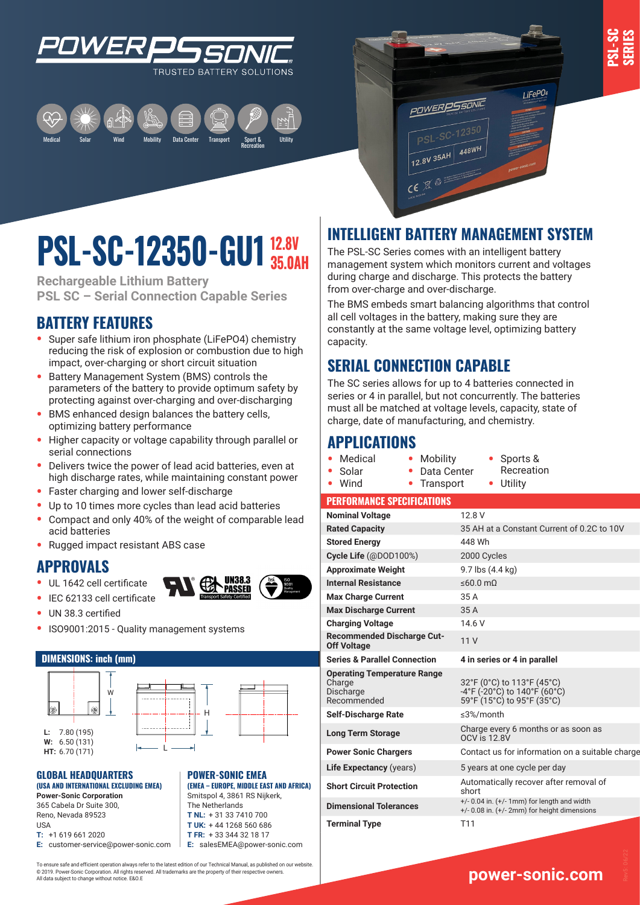

I iFePO4







**Rechargeable Lithium Battery PSL SC – Serial Connection Capable Series**

# **BATTERY FEATURES**

- **•** Super safe lithium iron phosphate (LiFePO4) chemistry reducing the risk of explosion or combustion due to high impact, over-charging or short circuit situation
- **•** Battery Management System (BMS) controls the parameters of the battery to provide optimum safety by protecting against over-charging and over-discharging
- **•** BMS enhanced design balances the battery cells, optimizing battery performance
- **•** Higher capacity or voltage capability through parallel or serial connections
- **•** Delivers twice the power of lead acid batteries, even at high discharge rates, while maintaining constant power
- **•** Faster charging and lower self-discharge
- **•** Up to 10 times more cycles than lead acid batteries
- **•** Compact and only 40% of the weight of comparable lead acid batteries
- **•** Rugged impact resistant ABS case

### **APPROVALS**

- **•** UL 1642 cell certificate
- **•** IEC 62133 cell certificate



- **•** UN 38.3 certified
- ISO9001:2015 Quality management systems

#### **DIMENSIONS: inch (mm)**



#### **GLOBAL HEADQUARTERS**  H **(USA AND INTERNATIONAL EXCLUDING EMEA)**

**Power-Sonic Corporation** 365 Cabela Dr Suite 300, L Reno, Nevada 89523 USA **T:** +1 619 661 2020

**E:** customer-service@power-sonic.com

**T FR:** + 33 344 32 18 17 **E:** salesEMEA@power-sonic.com

**POWER-SONIC EMEA** 

**(EMEA – EUROPE, MIDDLE EAST AND AFRICA)** Smitspol 4, 3861 RS Nijkerk, The Netherlands **T NL:** + 31 33 7410 700 **T UK:** + 44 1268 560 686

To ensure safe and efficient operation always refer to the latest edition of our Technical Manual, as published on our website. © 2019. Power-Sonic Corporation. All rights reserved. All trademarks are the property of their respective owners. All data subject to change without notice. E&O.E

# **INTELLIGENT BATTERY MANAGEMENT SYSTEM**

**POWERPSSONIC** 

PSL-SC-12350 12.8V 35AH 448WH

 $CE^{\otimes}$ 

The PSL-SC Series comes with an intelligent battery management system which monitors current and voltages during charge and discharge. This protects the battery from over-charge and over-discharge.

The BMS embeds smart balancing algorithms that control all cell voltages in the battery, making sure they are constantly at the same voltage level, optimizing battery capacity.

# **SERIAL CONNECTION CAPABLE**

The SC series allows for up to 4 batteries connected in series or 4 in parallel, but not concurrently. The batteries must all be matched at voltage levels, capacity, state of charge, date of manufacturing, and chemistry.

## **APPLICATIONS**

**•** Medical

- **•** Mobility **•** Data Center **•** Sports & Recreation
- **•** Solar **•** Wind **•** Transport **•** Utility

#### **PERFORMANCE SPECIFICATIONS**

| <b>Nominal Voltage</b>                                                   | 12.8 V                                                                                               |
|--------------------------------------------------------------------------|------------------------------------------------------------------------------------------------------|
| <b>Rated Capacity</b>                                                    | 35 AH at a Constant Current of 0.2C to 10V                                                           |
| <b>Stored Energy</b>                                                     | 448 Wh                                                                                               |
| Cycle Life (@DOD100%)                                                    | 2000 Cycles                                                                                          |
| <b>Approximate Weight</b>                                                | 9.7 lbs (4.4 kg)                                                                                     |
| <b>Internal Resistance</b>                                               | $\leq 60.0$ m $\Omega$                                                                               |
| <b>Max Charge Current</b>                                                | 35 A                                                                                                 |
| <b>Max Discharge Current</b>                                             | 35 A                                                                                                 |
| <b>Charging Voltage</b>                                                  | 14.6 V                                                                                               |
| <b>Recommended Discharge Cut-</b><br><b>Off Voltage</b>                  | 11V                                                                                                  |
| <b>Series &amp; Parallel Connection</b>                                  | 4 in series or 4 in parallel                                                                         |
| <b>Operating Temperature Range</b><br>Charge<br>Discharge<br>Recommended | 32°F (0°C) to 113°F (45°C)<br>-4°F (-20°C) to 140°F (60°C)<br>59°F (15°C) to 95°F (35°C)             |
| <b>Self-Discharge Rate</b>                                               | $\leq$ 3%/month                                                                                      |
| <b>Long Term Storage</b>                                                 | Charge every 6 months or as soon as<br><b>OCV</b> is 12.8V                                           |
| <b>Power Sonic Chargers</b>                                              | Contact us for information on a suitable charge                                                      |
| <b>Life Expectancy (years)</b>                                           | 5 years at one cycle per day                                                                         |
| <b>Short Circuit Protection</b>                                          | Automatically recover after removal of<br>short                                                      |
| <b>Dimensional Tolerances</b>                                            | $+/- 0.04$ in. $(+/- 1$ mm) for length and width<br>$+/- 0.08$ in. $(+/- 2mm)$ for height dimensions |
| <b>Terminal Type</b>                                                     | T11                                                                                                  |

# **www.power-sonic.com**